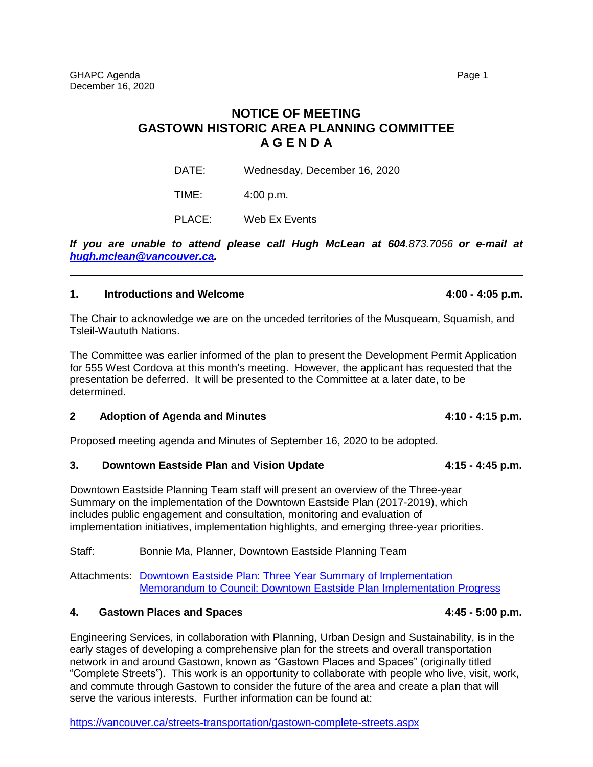# **NOTICE OF MEETING GASTOWN HISTORIC AREA PLANNING COMMITTEE A G E N D A**

DATE: Wednesday, December 16, 2020

TIME: 4:00 p.m.

PLACE: Web Ex Events

*If you are unable to attend please call Hugh McLean at 604.873.7056 or e-mail at [hugh.mclean@vancouver.ca.](mailto:hugh.mclean@vancouver.ca)*

### **1. Introductions and Welcome 4:00 - 4:05 p.m.**

The Chair to acknowledge we are on the unceded territories of the Musqueam, Squamish, and Tsleil-Waututh Nations.

The Committee was earlier informed of the plan to present the Development Permit Application for 555 West Cordova at this month's meeting. However, the applicant has requested that the presentation be deferred. It will be presented to the Committee at a later date, to be determined.

# **2 Adoption of Agenda and Minutes 4:10 - 4:15 p.m.**

Proposed meeting agenda and Minutes of September 16, 2020 to be adopted.

#### **3. Downtown Eastside Plan and Vision Update 4:15 - 4:45 p.m.**

Downtown Eastside Planning Team staff will present an overview of the Three-year Summary on the implementation of the Downtown Eastside Plan (2017-2019), which includes public engagement and consultation, monitoring and evaluation of implementation initiatives, implementation highlights, and emerging three-year priorities.

Staff: Bonnie Ma, Planner, Downtown Eastside Planning Team

Attachments: [Downtown Eastside Plan: Three Year Summary of Implementation](https://vancouver.ca/files/cov/dtes-plan-implementation-summary-2017-2019.pdf) [Memorandum to Council: Downtown Eastside Plan Implementation Progress](https://vancouver.ca/files/cov/2020-10-06-dtes-plan-implementation-progress.pdf)

# **4. Gastown Places and Spaces 4:45 - 5:00 p.m.**

Engineering Services, in collaboration with Planning, Urban Design and Sustainability, is in the early stages of developing a comprehensive plan for the streets and overall transportation network in and around Gastown, known as "Gastown Places and Spaces" (originally titled "Complete Streets"). This work is an opportunity to collaborate with people who live, visit, work, and commute through Gastown to consider the future of the area and create a plan that will serve the various interests. Further information can be found at:

<https://vancouver.ca/streets-transportation/gastown-complete-streets.aspx>